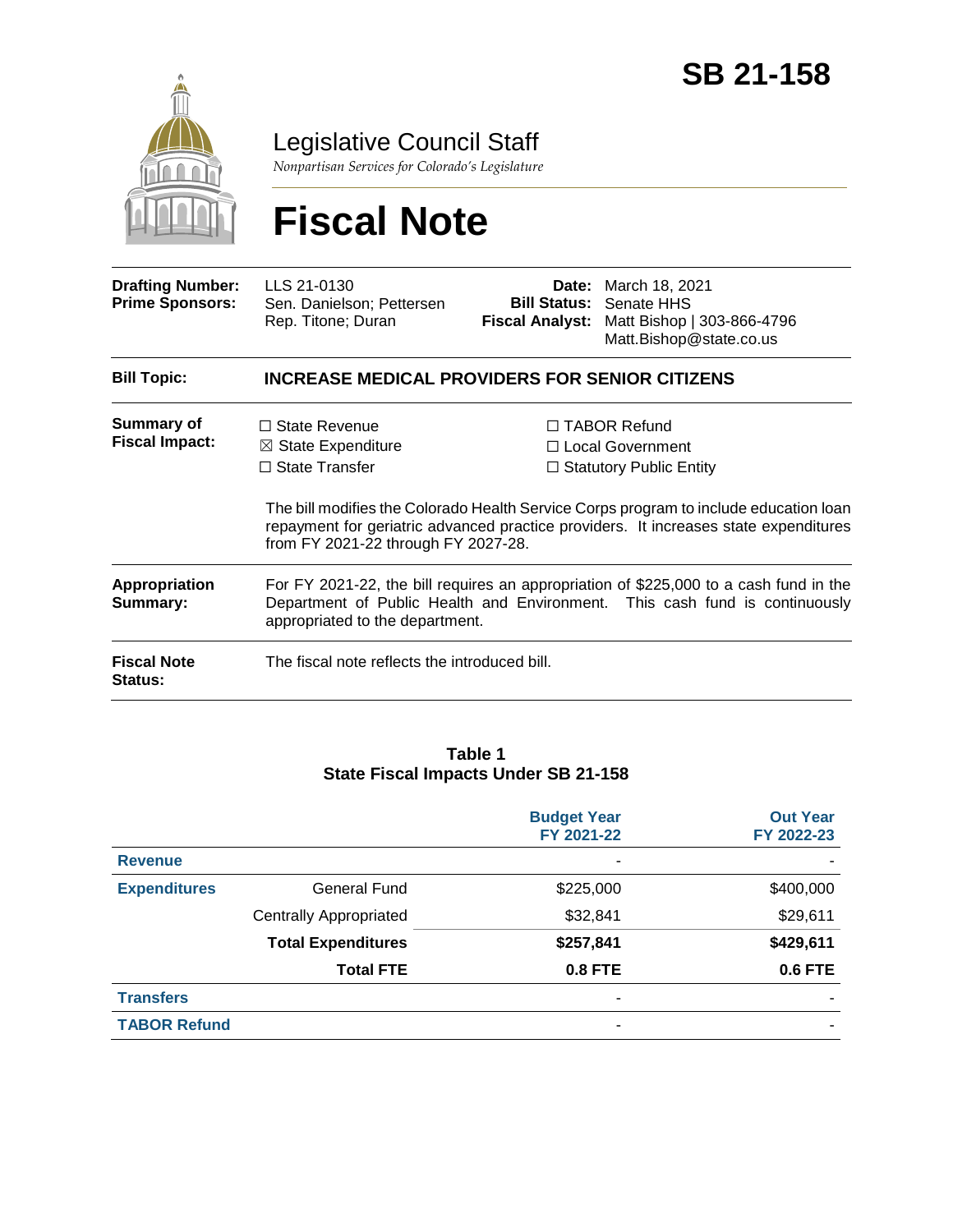

Legislative Council Staff

*Nonpartisan Services for Colorado's Legislature*

# **Fiscal Note**

| <b>Drafting Number:</b><br><b>Prime Sponsors:</b>                        | LLS 21-0130<br>Sen. Danielson; Pettersen<br>Rep. Titone; Duran                                                                                                                                                                                           | Date:<br><b>Bill Status:</b><br><b>Fiscal Analyst:</b> | March 18, 2021<br>Senate HHS<br>Matt Bishop   303-866-4796<br>Matt.Bishop@state.co.us                                                                                                                                                                        |  |  |  |
|--------------------------------------------------------------------------|----------------------------------------------------------------------------------------------------------------------------------------------------------------------------------------------------------------------------------------------------------|--------------------------------------------------------|--------------------------------------------------------------------------------------------------------------------------------------------------------------------------------------------------------------------------------------------------------------|--|--|--|
| <b>Bill Topic:</b>                                                       | <b>INCREASE MEDICAL PROVIDERS FOR SENIOR CITIZENS</b>                                                                                                                                                                                                    |                                                        |                                                                                                                                                                                                                                                              |  |  |  |
| <b>Summary of</b><br><b>Fiscal Impact:</b>                               | $\Box$ State Revenue<br>$\boxtimes$ State Expenditure<br>$\Box$ State Transfer<br>from FY 2021-22 through FY 2027-28.                                                                                                                                    |                                                        | $\Box$ TABOR Refund<br>□ Local Government<br>$\Box$ Statutory Public Entity<br>The bill modifies the Colorado Health Service Corps program to include education loan<br>repayment for geriatric advanced practice providers. It increases state expenditures |  |  |  |
| <b>Appropriation</b><br>Summary:<br><b>Fiscal Note</b><br><b>Status:</b> | For FY 2021-22, the bill requires an appropriation of \$225,000 to a cash fund in the<br>Department of Public Health and Environment. This cash fund is continuously<br>appropriated to the department.<br>The fiscal note reflects the introduced bill. |                                                        |                                                                                                                                                                                                                                                              |  |  |  |

#### **Table 1 State Fiscal Impacts Under SB 21-158**

|                     |                               | <b>Budget Year</b><br>FY 2021-22 | <b>Out Year</b><br>FY 2022-23 |
|---------------------|-------------------------------|----------------------------------|-------------------------------|
| <b>Revenue</b>      |                               |                                  |                               |
| <b>Expenditures</b> | <b>General Fund</b>           | \$225,000                        | \$400,000                     |
|                     | <b>Centrally Appropriated</b> | \$32,841                         | \$29,611                      |
|                     | <b>Total Expenditures</b>     | \$257,841                        | \$429,611                     |
|                     | <b>Total FTE</b>              | 0.8 FTE                          | <b>0.6 FTE</b>                |
| <b>Transfers</b>    |                               |                                  |                               |
| <b>TABOR Refund</b> |                               |                                  |                               |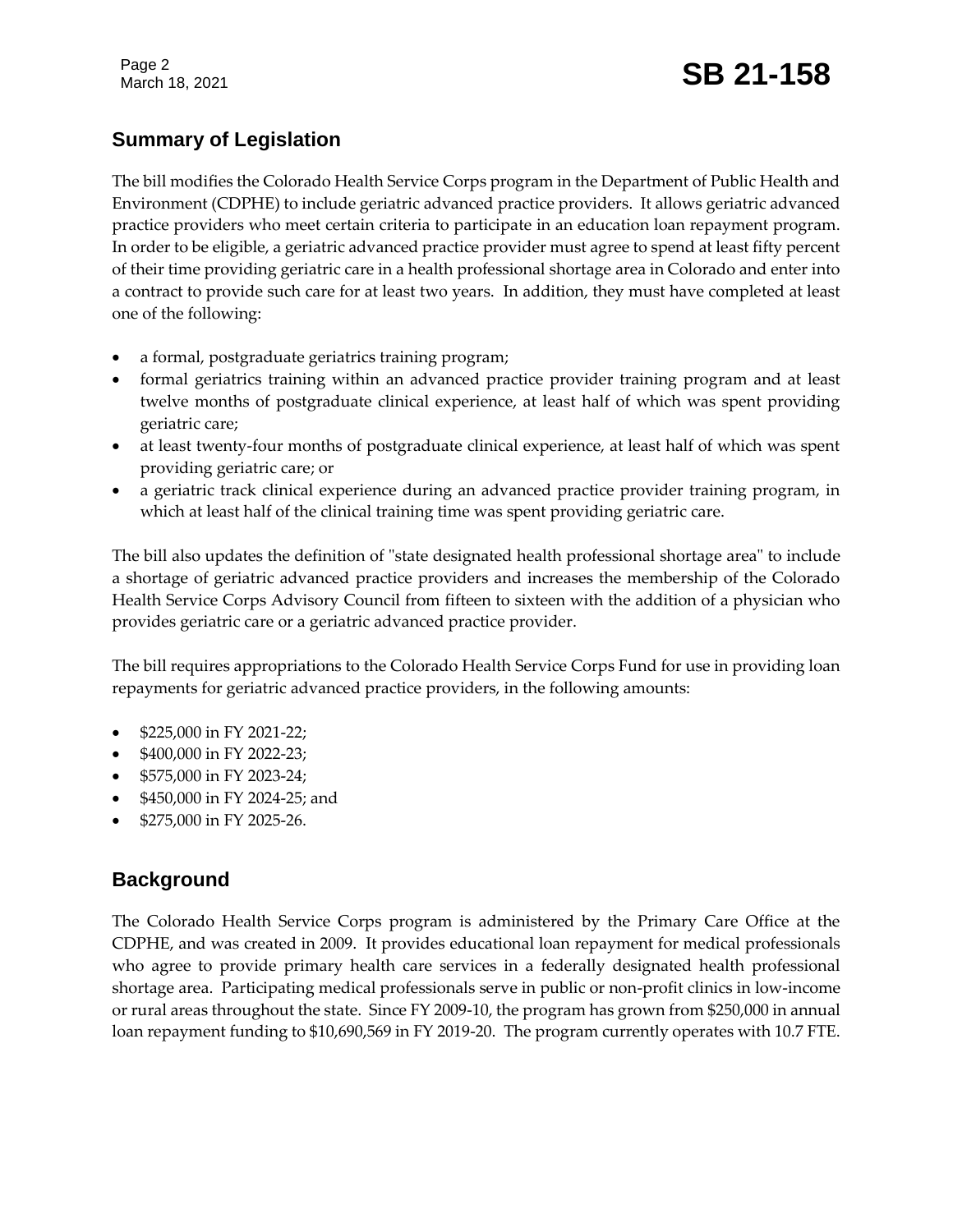Page 2

# Page 2<br>March 18, 2021 **SB 21-158**

## **Summary of Legislation**

The bill modifies the Colorado Health Service Corps program in the Department of Public Health and Environment (CDPHE) to include geriatric advanced practice providers. It allows geriatric advanced practice providers who meet certain criteria to participate in an education loan repayment program. In order to be eligible, a geriatric advanced practice provider must agree to spend at least fifty percent of their time providing geriatric care in a health professional shortage area in Colorado and enter into a contract to provide such care for at least two years. In addition, they must have completed at least one of the following:

- a formal, postgraduate geriatrics training program;
- formal geriatrics training within an advanced practice provider training program and at least twelve months of postgraduate clinical experience, at least half of which was spent providing geriatric care;
- at least twenty-four months of postgraduate clinical experience, at least half of which was spent providing geriatric care; or
- a geriatric track clinical experience during an advanced practice provider training program, in which at least half of the clinical training time was spent providing geriatric care.

The bill also updates the definition of "state designated health professional shortage area" to include a shortage of geriatric advanced practice providers and increases the membership of the Colorado Health Service Corps Advisory Council from fifteen to sixteen with the addition of a physician who provides geriatric care or a geriatric advanced practice provider.

The bill requires appropriations to the Colorado Health Service Corps Fund for use in providing loan repayments for geriatric advanced practice providers, in the following amounts:

- \$225,000 in FY 2021-22;
- \$400,000 in FY 2022-23;
- \$575,000 in FY 2023-24;
- \$450,000 in FY 2024-25; and
- \$275,000 in FY 2025-26.

#### **Background**

The Colorado Health Service Corps program is administered by the Primary Care Office at the CDPHE, and was created in 2009. It provides educational loan repayment for medical professionals who agree to provide primary health care services in a federally designated health professional shortage area. Participating medical professionals serve in public or non-profit clinics in low-income or rural areas throughout the state. Since FY 2009-10, the program has grown from \$250,000 in annual loan repayment funding to \$10,690,569 in FY 2019-20. The program currently operates with 10.7 FTE.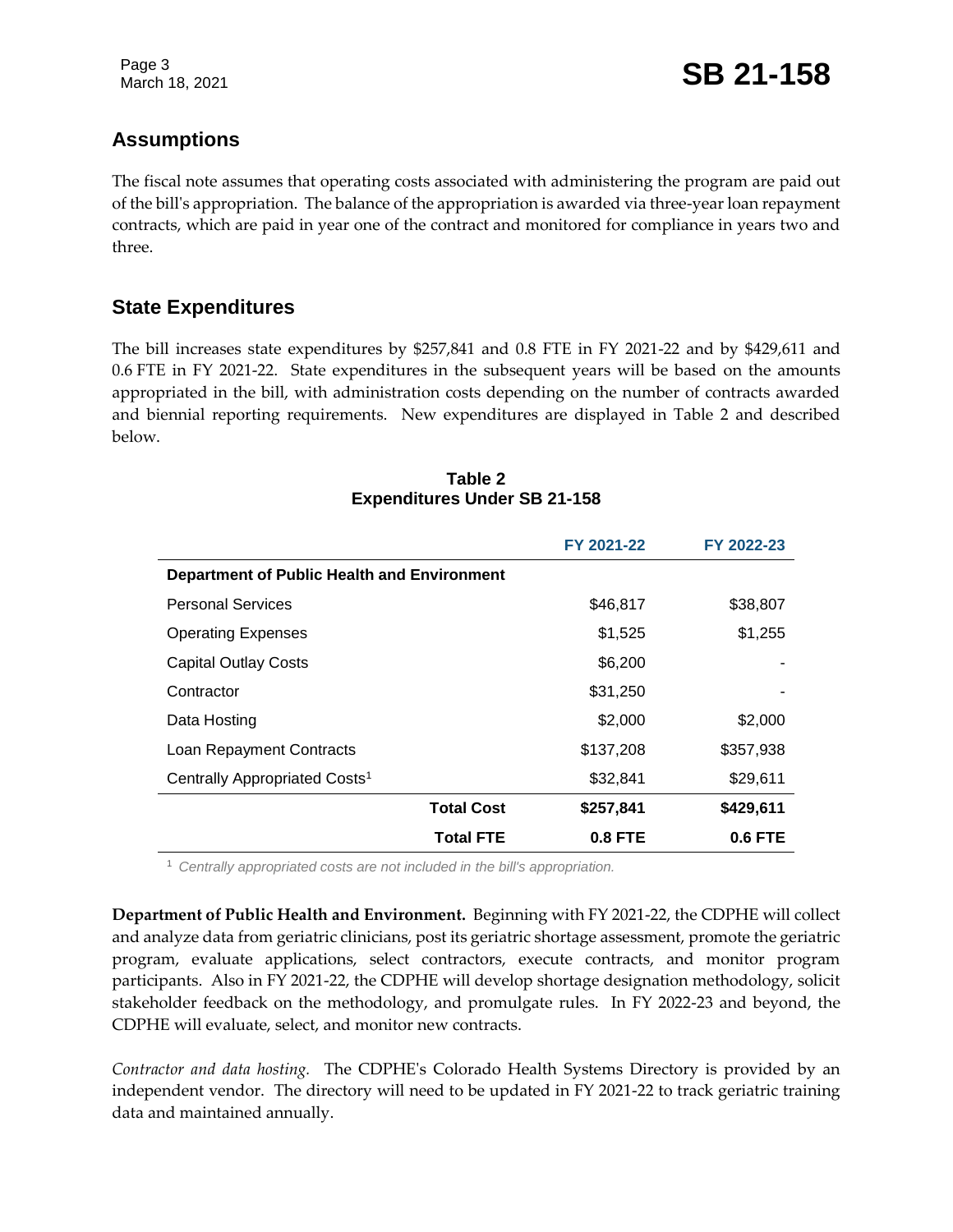Page 3

#### **Assumptions**

The fiscal note assumes that operating costs associated with administering the program are paid out of the bill's appropriation. The balance of the appropriation is awarded via three-year loan repayment contracts, which are paid in year one of the contract and monitored for compliance in years two and three.

#### **State Expenditures**

The bill increases state expenditures by \$257,841 and 0.8 FTE in FY 2021-22 and by \$429,611 and 0.6 FTE in FY 2021-22. State expenditures in the subsequent years will be based on the amounts appropriated in the bill, with administration costs depending on the number of contracts awarded and biennial reporting requirements. New expenditures are displayed in Table 2 and described below.

|                                                    | FY 2021-22     | FY 2022-23 |
|----------------------------------------------------|----------------|------------|
| <b>Department of Public Health and Environment</b> |                |            |
| <b>Personal Services</b>                           | \$46,817       | \$38,807   |
| <b>Operating Expenses</b>                          | \$1,525        | \$1,255    |
| <b>Capital Outlay Costs</b>                        | \$6,200        |            |
| Contractor                                         | \$31,250       |            |
| Data Hosting                                       | \$2,000        | \$2,000    |
| Loan Repayment Contracts                           | \$137,208      | \$357,938  |
| Centrally Appropriated Costs <sup>1</sup>          | \$32,841       | \$29,611   |
| <b>Total Cost</b>                                  | \$257,841      | \$429,611  |
| <b>Total FTE</b>                                   | <b>0.8 FTE</b> | $0.6$ FTE  |

#### **Table 2 Expenditures Under SB 21-158**

<sup>1</sup> *Centrally appropriated costs are not included in the bill's appropriation.*

**Department of Public Health and Environment.** Beginning with FY 2021-22, the CDPHE will collect and analyze data from geriatric clinicians, post its geriatric shortage assessment, promote the geriatric program, evaluate applications, select contractors, execute contracts, and monitor program participants. Also in FY 2021-22, the CDPHE will develop shortage designation methodology, solicit stakeholder feedback on the methodology, and promulgate rules. In FY 2022-23 and beyond, the CDPHE will evaluate, select, and monitor new contracts.

*Contractor and data hosting.* The CDPHE's Colorado Health Systems Directory is provided by an independent vendor. The directory will need to be updated in FY 2021-22 to track geriatric training data and maintained annually.